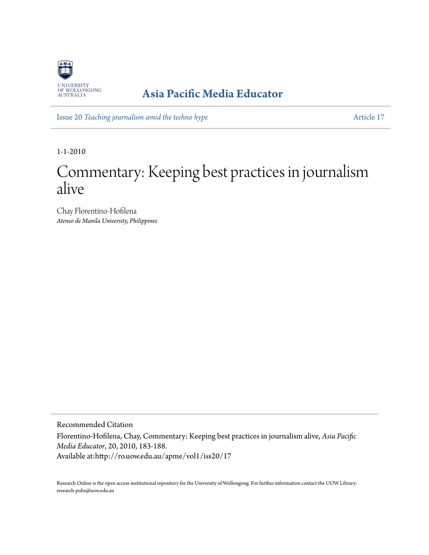

### **[Asia Pacific Media Educator](http://ro.uow.edu.au/apme)**

Issue 20 *[Teaching journalism amid the techno hype](http://ro.uow.edu.au/apme/vol1/iss20)* [Article 17](http://ro.uow.edu.au/apme/vol1/iss20/17)

1-1-2010

# Commentary: Keeping best practices in journalism alive

Chay Florentino-Hofilena *Ateneo de Manila University, Philippines*

Recommended Citation

Florentino-Hofilena, Chay, Commentary: Keeping best practices in journalism alive, *Asia Pacific Media Educator*, 20, 2010, 183-188. Available at:http://ro.uow.edu.au/apme/vol1/iss20/17

Research Online is the open access institutional repository for the University of Wollongong. For further information contact the UOW Library: research-pubs@uow.edu.au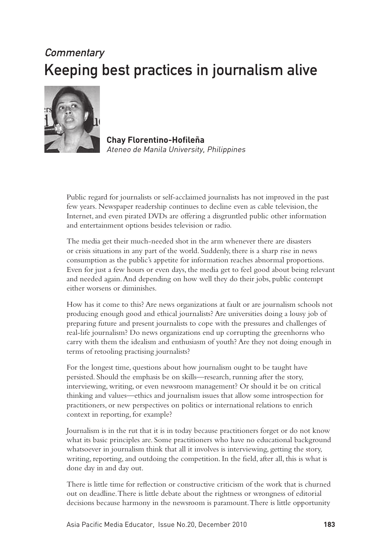## **Commentary** Keeping best practices in journalism alive



**Chay Florentino-Hofileña** Ateneo de Manila University, Philippines

Public regard for journalists or self-acclaimed journalists has not improved in the past few years. Newspaper readership continues to decline even as cable television, the Internet, and even pirated DVDs are offering a disgruntled public other information and entertainment options besides television or radio.

The media get their much-needed shot in the arm whenever there are disasters or crisis situations in any part of the world. Suddenly, there is a sharp rise in news consumption as the public's appetite for information reaches abnormal proportions. Even for just a few hours or even days, the media get to feel good about being relevant and needed again. And depending on how well they do their jobs, public contempt either worsens or diminishes.

How has it come to this? Are news organizations at fault or are journalism schools not producing enough good and ethical journalists? Are universities doing a lousy job of preparing future and present journalists to cope with the pressures and challenges of real-life journalism? Do news organizations end up corrupting the greenhorns who carry with them the idealism and enthusiasm of youth? Are they not doing enough in terms of retooling practising journalists?

For the longest time, questions about how journalism ought to be taught have persisted. Should the emphasis be on skills—research, running after the story, interviewing, writing, or even newsroom management? Or should it be on critical thinking and values—ethics and journalism issues that allow some introspection for practitioners, or new perspectives on politics or international relations to enrich context in reporting, for example?

Journalism is in the rut that it is in today because practitioners forget or do not know what its basic principles are. Some practitioners who have no educational background whatsoever in journalism think that all it involves is interviewing, getting the story, writing, reporting, and outdoing the competition. In the field, after all, this is what is done day in and day out.

There is little time for reflection or constructive criticism of the work that is churned out on deadline. There is little debate about the rightness or wrongness of editorial decisions because harmony in the newsroom is paramount. There is little opportunity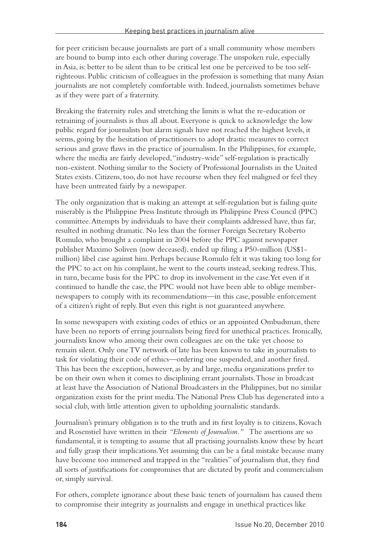for peer criticism because journalists are part of a small community whose members are bound to bump into each other during coverage. The unspoken rule, especially in Asia, is: better to be silent than to be critical lest one be perceived to be too selfrighteous. Public criticism of colleagues in the profession is something that many Asian journalists are not completely comfortable with. Indeed, journalists sometimes behave as if they were part of a fraternity.

Breaking the fraternity rules and stretching the limits is what the re-education or retraining of journalists is thus all about. Everyone is quick to acknowledge the low public regard for journalists but alarm signals have not reached the highest levels, it seems, going by the hesitation of practitioners to adopt drastic measures to correct serious and grave flaws in the practice of journalism. In the Philippines, for example, where the media are fairly developed, "industry-wide" self-regulation is practically non-existent. Nothing similar to the Society of Professional Journalists in the United States exists. Citizens, too, do not have recourse when they feel maligned or feel they have been untreated fairly by a newspaper.

The only organization that is making an attempt at self-regulation but is failing quite miserably is the Philippine Press Institute through its Philippine Press Council (PPC) committee. Attempts by individuals to have their complaints addressed have, thus far, resulted in nothing dramatic. No less than the former Foreign Secretary Roberto Romulo, who brought a complaint in 2004 before the PPC against newspaper publisher Maximo Soliven (now deceased), ended up filing a P50-million (US\$1 million) libel case against him. Perhaps because Romulo felt it was taking too long for the PPC to act on his complaint, he went to the courts instead, seeking redress. This, in turn, became basis for the PPC to drop its involvement in the case. Yet even if it continued to handle the case, the PPC would not have been able to oblige membernewspapers to comply with its recommendations—in this case, possible enforcement of a citizen's right of reply. But even this right is not guaranteed anywhere.

In some newspapers with existing codes of ethics or an appointed Ombudsman, there have been no reports of erring journalists being fired for unethical practices. Ironically, journalists know who among their own colleagues are on the take yet choose to remain silent. Only one TV network of late has been known to take its journalists to task for violating their code of ethics—ordering one suspended, and another fired. This has been the exception, however, as by and large, media organizations prefer to be on their own when it comes to disciplining errant journalists. Those in broadcast at least have the Association of National Broadcasters in the Philippines, but no similar organization exists for the print media. The National Press Club has degenerated into a social club, with little attention given to upholding journalistic standards.

Journalism's primary obligation is to the truth and its first loyalty is to citizens, Kovach and Rosenstiel have written in their *"Elements of Journalism."* The assertions are so fundamental, it is tempting to assume that all practising journalists know these by heart and fully grasp their implications. Yet assuming this can be a fatal mistake because many have become too immersed and trapped in the "realities" of journalism that, they find all sorts of justifications for compromises that are dictated by profit and commercialism or, simply survival.

For others, complete ignorance about these basic tenets of journalism has caused them to compromise their integrity as journalists and engage in unethical practices like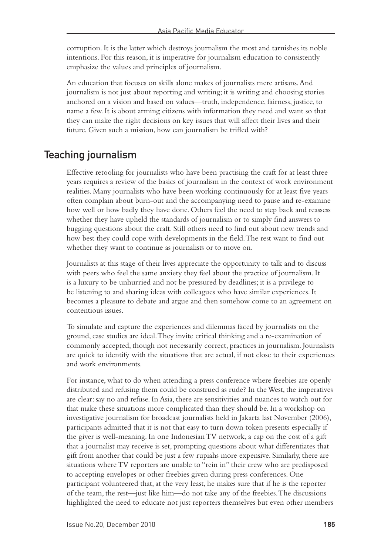corruption. It is the latter which destroys journalism the most and tarnishes its noble intentions. For this reason, it is imperative for journalism education to consistently emphasize the values and principles of journalism.

An education that focuses on skills alone makes of journalists mere artisans. And journalism is not just about reporting and writing; it is writing and choosing stories anchored on a vision and based on values—truth, independence, fairness, justice, to name a few. It is about arming citizens with information they need and want so that they can make the right decisions on key issues that will affect their lives and their future. Given such a mission, how can journalism be trifled with?

#### Teaching journalism

Effective retooling for journalists who have been practising the craft for at least three years requires a review of the basics of journalism in the context of work environment realities. Many journalists who have been working continuously for at least five years often complain about burn-out and the accompanying need to pause and re-examine how well or how badly they have done. Others feel the need to step back and reassess whether they have upheld the standards of journalism or to simply find answers to bugging questions about the craft. Still others need to find out about new trends and how best they could cope with developments in the field. The rest want to find out whether they want to continue as journalists or to move on.

Journalists at this stage of their lives appreciate the opportunity to talk and to discuss with peers who feel the same anxiety they feel about the practice of journalism. It is a luxury to be unhurried and not be pressured by deadlines; it is a privilege to be listening to and sharing ideas with colleagues who have similar experiences. It becomes a pleasure to debate and argue and then somehow come to an agreement on contentious issues.

To simulate and capture the experiences and dilemmas faced by journalists on the ground, case studies are ideal. They invite critical thinking and a re-examination of commonly accepted, though not necessarily correct, practices in journalism. Journalists are quick to identify with the situations that are actual, if not close to their experiences and work environments.

For instance, what to do when attending a press conference where freebies are openly distributed and refusing them could be construed as rude? In the West, the imperatives are clear: say no and refuse. In Asia, there are sensitivities and nuances to watch out for that make these situations more complicated than they should be. In a workshop on investigative journalism for broadcast journalists held in Jakarta last November (2006), participants admitted that it is not that easy to turn down token presents especially if the giver is well-meaning. In one Indonesian TV network, a cap on the cost of a gift that a journalist may receive is set, prompting questions about what differentiates that gift from another that could be just a few rupiahs more expensive. Similarly, there are situations where TV reporters are unable to "rein in" their crew who are predisposed to accepting envelopes or other freebies given during press conferences. One participant volunteered that, at the very least, he makes sure that if he is the reporter of the team, the rest—just like him—do not take any of the freebies. The discussions highlighted the need to educate not just reporters themselves but even other members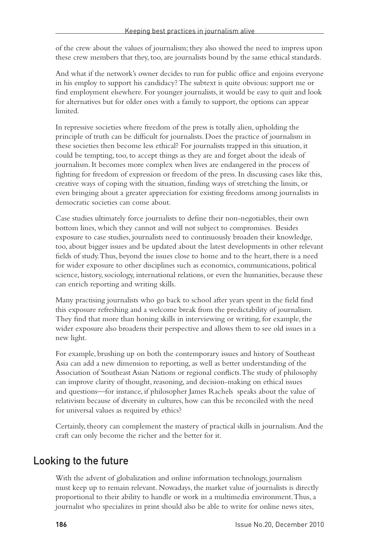of the crew about the values of journalism; they also showed the need to impress upon these crew members that they, too, are journalists bound by the same ethical standards.

And what if the network's owner decides to run for public office and enjoins everyone in his employ to support his candidacy? The subtext is quite obvious: support me or find employment elsewhere. For younger journalists, it would be easy to quit and look for alternatives but for older ones with a family to support, the options can appear limited.

In repressive societies where freedom of the press is totally alien, upholding the principle of truth can be difficult for journalists. Does the practice of journalism in these societies then become less ethical? For journalists trapped in this situation, it could be tempting, too, to accept things as they are and forget about the ideals of journalism. It becomes more complex when lives are endangered in the process of fighting for freedom of expression or freedom of the press. In discussing cases like this, creative ways of coping with the situation, finding ways of stretching the limits, or even bringing about a greater appreciation for existing freedoms among journalists in democratic societies can come about.

Case studies ultimately force journalists to define their non-negotiables, their own bottom lines, which they cannot and will not subject to compromises. Besides exposure to case studies, journalists need to continuously broaden their knowledge, too, about bigger issues and be updated about the latest developments in other relevant fields of study. Thus, beyond the issues close to home and to the heart, there is a need for wider exposure to other disciplines such as economics, communications, political science, history, sociology, international relations, or even the humanities, because these can enrich reporting and writing skills.

Many practising journalists who go back to school after years spent in the field find this exposure refreshing and a welcome break from the predictability of journalism. They find that more than honing skills in interviewing or writing, for example, the wider exposure also broadens their perspective and allows them to see old issues in a new light.

For example, brushing up on both the contemporary issues and history of Southeast Asia can add a new dimension to reporting, as well as better understanding of the Association of Southeast Asian Nations or regional conflicts. The study of philosophy can improve clarity of thought, reasoning, and decision-making on ethical issues and questions—for instance, if philosopher James Rachels speaks about the value of relativism because of diversity in cultures, how can this be reconciled with the need for universal values as required by ethics?

Certainly, theory can complement the mastery of practical skills in journalism. And the craft can only become the richer and the better for it.

#### Looking to the future

With the advent of globalization and online information technology, journalism must keep up to remain relevant. Nowadays, the market value of journalists is directly proportional to their ability to handle or work in a multimedia environment. Thus, a journalist who specializes in print should also be able to write for online news sites,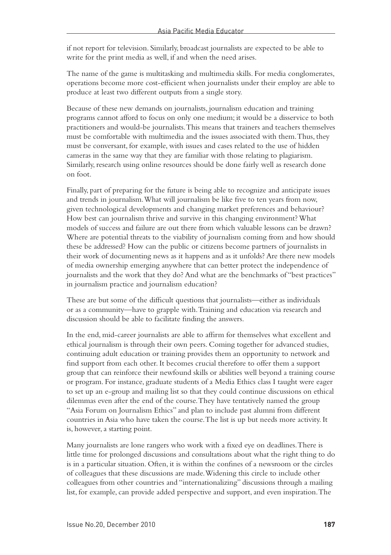if not report for television. Similarly, broadcast journalists are expected to be able to write for the print media as well, if and when the need arises.

The name of the game is multitasking and multimedia skills. For media conglomerates, operations become more cost-efficient when journalists under their employ are able to produce at least two different outputs from a single story.

Because of these new demands on journalists, journalism education and training programs cannot afford to focus on only one medium; it would be a disservice to both practitioners and would-be journalists. This means that trainers and teachers themselves must be comfortable with multimedia and the issues associated with them. Thus, they must be conversant, for example, with issues and cases related to the use of hidden cameras in the same way that they are familiar with those relating to plagiarism. Similarly, research using online resources should be done fairly well as research done on foot.

Finally, part of preparing for the future is being able to recognize and anticipate issues and trends in journalism. What will journalism be like five to ten years from now, given technological developments and changing market preferences and behaviour? How best can journalism thrive and survive in this changing environment? What models of success and failure are out there from which valuable lessons can be drawn? Where are potential threats to the viability of journalism coming from and how should these be addressed? How can the public or citizens become partners of journalists in their work of documenting news as it happens and as it unfolds? Are there new models of media ownership emerging anywhere that can better protect the independence of journalists and the work that they do? And what are the benchmarks of "best practices" in journalism practice and journalism education?

These are but some of the difficult questions that journalists—either as individuals or as a community—have to grapple with. Training and education via research and discussion should be able to facilitate finding the answers.

In the end, mid-career journalists are able to affirm for themselves what excellent and ethical journalism is through their own peers. Coming together for advanced studies, continuing adult education or training provides them an opportunity to network and find support from each other. It becomes crucial therefore to offer them a support group that can reinforce their newfound skills or abilities well beyond a training course or program. For instance, graduate students of a Media Ethics class I taught were eager to set up an e-group and mailing list so that they could continue discussions on ethical dilemmas even after the end of the course. They have tentatively named the group "Asia Forum on Journalism Ethics" and plan to include past alumni from different countries in Asia who have taken the course. The list is up but needs more activity. It is, however, a starting point.

Many journalists are lone rangers who work with a fixed eye on deadlines. There is little time for prolonged discussions and consultations about what the right thing to do is in a particular situation. Often, it is within the confines of a newsroom or the circles of colleagues that these discussions are made. Widening this circle to include other colleagues from other countries and "internationalizing" discussions through a mailing list, for example, can provide added perspective and support, and even inspiration. The